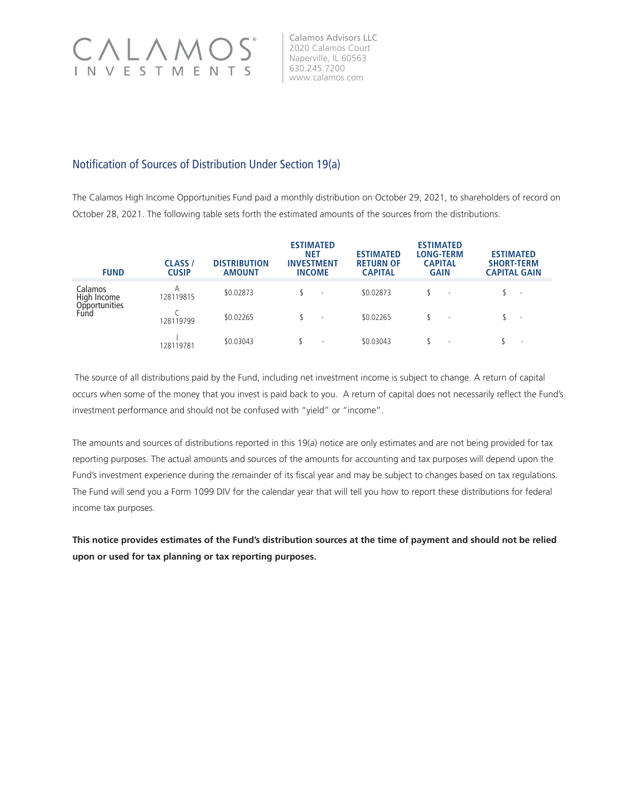

Calamos Advisors LLC 2020 Calamos Court Naperville, IL 60563 630.245.7200 www.calamos.com

## Notification of Sources of Distribution Under Section 19(a)

The Calamos High Income Opportunities Fund paid a monthly distribution on October 29, 2021, to shareholders of record on October 28, 2021. The following table sets forth the estimated amounts of the sources from the distributions.

| <b>FUND</b>                                     | <b>CLASS</b> /<br><b>CUSIP</b> | <b>DISTRIBUTION</b><br><b>AMOUNT</b> | <b>ESTIMATED</b><br><b>NET</b><br><b>INVESTMENT</b><br><b>INCOME</b> | <b>ESTIMATED</b><br><b>RETURN OF</b><br><b>CAPITAL</b> | <b>ESTIMATED</b><br><b>LONG-TERM</b><br><b>CAPITAL</b><br><b>GAIN</b> | <b>ESTIMATED</b><br><b>SHORT-TERM</b><br><b>CAPITAL GAIN</b> |
|-------------------------------------------------|--------------------------------|--------------------------------------|----------------------------------------------------------------------|--------------------------------------------------------|-----------------------------------------------------------------------|--------------------------------------------------------------|
| Calamos<br>High Income<br>Opportunities<br>Fund | А<br>128119815                 | \$0.02873                            |                                                                      | \$0.02873                                              |                                                                       | $\sim$                                                       |
|                                                 | 128119799                      | \$0.02265                            | $\overline{\phantom{a}}$                                             | \$0.02265                                              | $\sim$                                                                | $\sim$                                                       |
|                                                 | 128119781                      | \$0.03043                            | $\overline{\phantom{a}}$                                             | \$0.03043                                              | $\sim$                                                                | $\overline{\phantom{a}}$                                     |

 The source of all distributions paid by the Fund, including net investment income is subject to change. A return of capital occurs when some of the money that you invest is paid back to you. A return of capital does not necessarily reflect the Fund's investment performance and should not be confused with "yield" or "income".

The amounts and sources of distributions reported in this 19(a) notice are only estimates and are not being provided for tax reporting purposes. The actual amounts and sources of the amounts for accounting and tax purposes will depend upon the Fund's investment experience during the remainder of its fiscal year and may be subject to changes based on tax regulations. The Fund will send you a Form 1099 DIV for the calendar year that will tell you how to report these distributions for federal income tax purposes.

**This notice provides estimates of the Fund's distribution sources at the time of payment and should not be relied upon or used for tax planning or tax reporting purposes.**